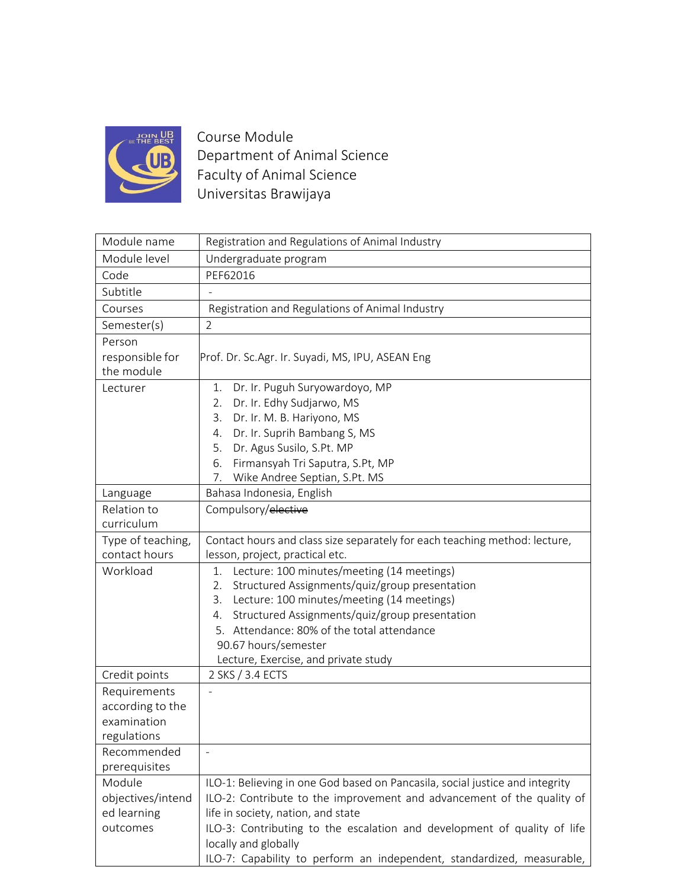

Course Module Department of Animal Science Faculty of Animal Science Universitas Brawijaya

| Module name       | Registration and Regulations of Animal Industry                              |
|-------------------|------------------------------------------------------------------------------|
| Module level      | Undergraduate program                                                        |
| Code              | PEF62016                                                                     |
| Subtitle          |                                                                              |
| Courses           | Registration and Regulations of Animal Industry                              |
| Semester(s)       | $\overline{2}$                                                               |
| Person            |                                                                              |
| responsible for   | Prof. Dr. Sc.Agr. Ir. Suyadi, MS, IPU, ASEAN Eng                             |
| the module        |                                                                              |
| Lecturer          | Dr. Ir. Puguh Suryowardoyo, MP<br>1.                                         |
|                   | Dr. Ir. Edhy Sudjarwo, MS<br>2.                                              |
|                   | Dr. Ir. M. B. Hariyono, MS<br>3.                                             |
|                   | Dr. Ir. Suprih Bambang S, MS<br>4.                                           |
|                   | Dr. Agus Susilo, S.Pt. MP<br>5.                                              |
|                   | Firmansyah Tri Saputra, S.Pt, MP<br>6.                                       |
|                   | Wike Andree Septian, S.Pt. MS<br>7.                                          |
| Language          | Bahasa Indonesia, English                                                    |
| Relation to       | Compulsory/elective                                                          |
| curriculum        |                                                                              |
| Type of teaching, | Contact hours and class size separately for each teaching method: lecture,   |
| contact hours     | lesson, project, practical etc.                                              |
| Workload          | Lecture: 100 minutes/meeting (14 meetings)<br>1.                             |
|                   | Structured Assignments/quiz/group presentation<br>2.                         |
|                   | Lecture: 100 minutes/meeting (14 meetings)<br>3.                             |
|                   | Structured Assignments/quiz/group presentation<br>4.                         |
|                   | 5. Attendance: 80% of the total attendance                                   |
|                   | 90.67 hours/semester                                                         |
|                   | Lecture, Exercise, and private study                                         |
| Credit points     | 2 SKS / 3.4 ECTS                                                             |
| Requirements      |                                                                              |
| according to the  |                                                                              |
| examination       |                                                                              |
| regulations       |                                                                              |
| Recommended       |                                                                              |
| prerequisites     |                                                                              |
| Module            | ILO-1: Believing in one God based on Pancasila, social justice and integrity |
| objectives/intend | ILO-2: Contribute to the improvement and advancement of the quality of       |
| ed learning       | life in society, nation, and state                                           |
| outcomes          | ILO-3: Contributing to the escalation and development of quality of life     |
|                   | locally and globally                                                         |
|                   | ILO-7: Capability to perform an independent, standardized, measurable,       |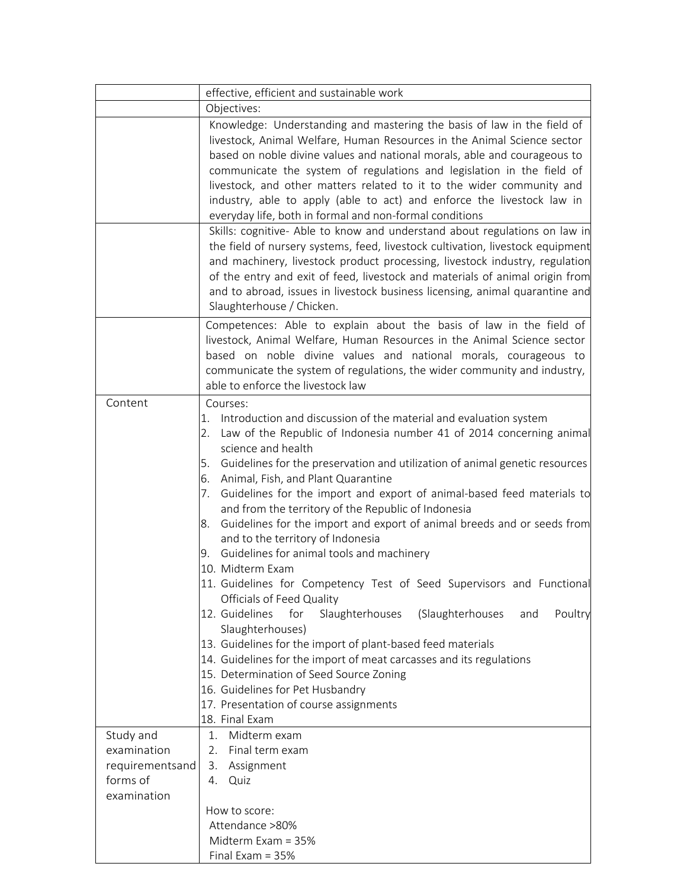|                                                                        | effective, efficient and sustainable work                                                                                                                                                                                                                                                                                                                                                                                                                                                                                                                                                                                                                                                                                                                                                                                                                                                                                                                                                                                                                                                                                            |
|------------------------------------------------------------------------|--------------------------------------------------------------------------------------------------------------------------------------------------------------------------------------------------------------------------------------------------------------------------------------------------------------------------------------------------------------------------------------------------------------------------------------------------------------------------------------------------------------------------------------------------------------------------------------------------------------------------------------------------------------------------------------------------------------------------------------------------------------------------------------------------------------------------------------------------------------------------------------------------------------------------------------------------------------------------------------------------------------------------------------------------------------------------------------------------------------------------------------|
|                                                                        | Objectives:                                                                                                                                                                                                                                                                                                                                                                                                                                                                                                                                                                                                                                                                                                                                                                                                                                                                                                                                                                                                                                                                                                                          |
|                                                                        | Knowledge: Understanding and mastering the basis of law in the field of<br>livestock, Animal Welfare, Human Resources in the Animal Science sector<br>based on noble divine values and national morals, able and courageous to<br>communicate the system of regulations and legislation in the field of<br>livestock, and other matters related to it to the wider community and<br>industry, able to apply (able to act) and enforce the livestock law in<br>everyday life, both in formal and non-formal conditions                                                                                                                                                                                                                                                                                                                                                                                                                                                                                                                                                                                                                |
|                                                                        | Skills: cognitive- Able to know and understand about regulations on law in<br>the field of nursery systems, feed, livestock cultivation, livestock equipment<br>and machinery, livestock product processing, livestock industry, regulation<br>of the entry and exit of feed, livestock and materials of animal origin from<br>and to abroad, issues in livestock business licensing, animal quarantine and<br>Slaughterhouse / Chicken.                                                                                                                                                                                                                                                                                                                                                                                                                                                                                                                                                                                                                                                                                             |
|                                                                        | Competences: Able to explain about the basis of law in the field of<br>livestock, Animal Welfare, Human Resources in the Animal Science sector<br>based on noble divine values and national morals, courageous to<br>communicate the system of regulations, the wider community and industry,<br>able to enforce the livestock law                                                                                                                                                                                                                                                                                                                                                                                                                                                                                                                                                                                                                                                                                                                                                                                                   |
| Content                                                                | Courses:<br>Introduction and discussion of the material and evaluation system<br>1.<br>Law of the Republic of Indonesia number 41 of 2014 concerning animal<br>2.<br>science and health<br>5. Guidelines for the preservation and utilization of animal genetic resources<br>Animal, Fish, and Plant Quarantine<br>6.<br>Guidelines for the import and export of animal-based feed materials to<br>7.<br>and from the territory of the Republic of Indonesia<br>Guidelines for the import and export of animal breeds and or seeds from<br>8.<br>and to the territory of Indonesia<br>Guidelines for animal tools and machinery<br>9.<br>10. Midterm Exam<br>11. Guidelines for Competency Test of Seed Supervisors and Functional<br>Officials of Feed Quality<br>12. Guidelines<br>for<br>Slaughterhouses<br>(Slaughterhouses<br>Poultry<br>and<br>Slaughterhouses)<br>13. Guidelines for the import of plant-based feed materials<br>14. Guidelines for the import of meat carcasses and its regulations<br>15. Determination of Seed Source Zoning<br>16. Guidelines for Pet Husbandry<br>17. Presentation of course assignments |
|                                                                        | 18. Final Exam                                                                                                                                                                                                                                                                                                                                                                                                                                                                                                                                                                                                                                                                                                                                                                                                                                                                                                                                                                                                                                                                                                                       |
| Study and<br>examination<br>requirementsand<br>forms of<br>examination | Midterm exam<br>1.<br>2.<br>Final term exam<br>3.<br>Assignment<br>Quiz<br>4.                                                                                                                                                                                                                                                                                                                                                                                                                                                                                                                                                                                                                                                                                                                                                                                                                                                                                                                                                                                                                                                        |
|                                                                        | How to score:                                                                                                                                                                                                                                                                                                                                                                                                                                                                                                                                                                                                                                                                                                                                                                                                                                                                                                                                                                                                                                                                                                                        |
|                                                                        | Attendance >80%                                                                                                                                                                                                                                                                                                                                                                                                                                                                                                                                                                                                                                                                                                                                                                                                                                                                                                                                                                                                                                                                                                                      |
|                                                                        | Midterm Exam = 35%                                                                                                                                                                                                                                                                                                                                                                                                                                                                                                                                                                                                                                                                                                                                                                                                                                                                                                                                                                                                                                                                                                                   |
|                                                                        | Final Exam = 35%                                                                                                                                                                                                                                                                                                                                                                                                                                                                                                                                                                                                                                                                                                                                                                                                                                                                                                                                                                                                                                                                                                                     |